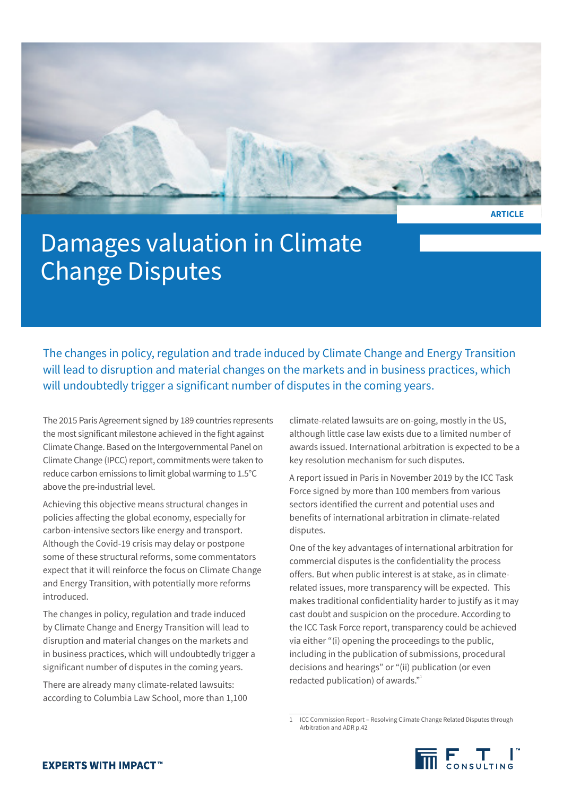

**ARTICLE**

# Damages valuation in Climate Change Disputes

The changes in policy, regulation and trade induced by Climate Change and Energy Transition will lead to disruption and material changes on the markets and in business practices, which will undoubtedly trigger a significant number of disputes in the coming years.

The 2015 Paris Agreement signed by 189 countries represents the most significant milestone achieved in the fight against Climate Change. Based on the Intergovernmental Panel on Climate Change (IPCC) report, commitments were taken to reduce carbon emissions to limit global warming to 1.5°C above the pre-industrial level.

Achieving this objective means structural changes in policies affecting the global economy, especially for carbon-intensive sectors like energy and transport. Although the Covid-19 crisis may delay or postpone some of these structural reforms, some commentators expect that it will reinforce the focus on Climate Change and Energy Transition, with potentially more reforms introduced.

The changes in policy, regulation and trade induced by Climate Change and Energy Transition will lead to disruption and material changes on the markets and in business practices, which will undoubtedly trigger a significant number of disputes in the coming years.

There are already many climate-related lawsuits: according to Columbia Law School, more than 1,100 climate-related lawsuits are on-going, mostly in the US, although little case law exists due to a limited number of awards issued. International arbitration is expected to be a key resolution mechanism for such disputes.

A report issued in Paris in November 2019 by the ICC Task Force signed by more than 100 members from various sectors identified the current and potential uses and benefits of international arbitration in climate-related disputes.

One of the key advantages of international arbitration for commercial disputes is the confidentiality the process offers. But when public interest is at stake, as in climaterelated issues, more transparency will be expected. This makes traditional confidentiality harder to justify as it may cast doubt and suspicion on the procedure. According to the ICC Task Force report, transparency could be achieved via either "(i) opening the proceedings to the public, including in the publication of submissions, procedural decisions and hearings" or "(ii) publication (or even redacted publication) of awards."<sup>1</sup>

1 ICC Commission Report – Resolving Climate Change Related Disputes through Arbitration and ADR p.42

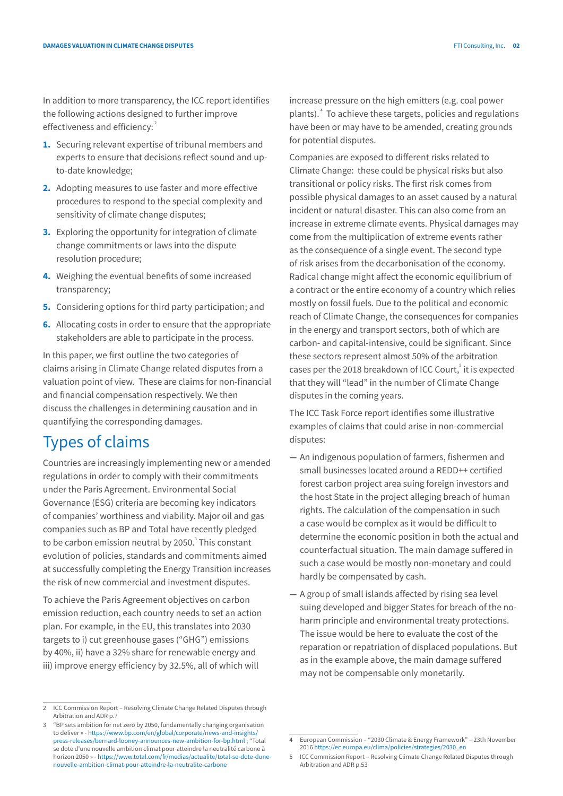In addition to more transparency, the ICC report identifies the following actions designed to further improve effectiveness and efficiency:<sup>2</sup>

- **1.** Securing relevant expertise of tribunal members and experts to ensure that decisions reflect sound and upto-date knowledge;
- **2.** Adopting measures to use faster and more effective procedures to respond to the special complexity and sensitivity of climate change disputes;
- **3.** Exploring the opportunity for integration of climate change commitments or laws into the dispute resolution procedure;
- **4.** Weighing the eventual benefits of some increased transparency;
- **5.** Considering options for third party participation; and
- **6.** Allocating costs in order to ensure that the appropriate stakeholders are able to participate in the process.

In this paper, we first outline the two categories of claims arising in Climate Change related disputes from a valuation point of view. These are claims for non-financial and financial compensation respectively. We then discuss the challenges in determining causation and in quantifying the corresponding damages.

## Types of claims

Countries are increasingly implementing new or amended regulations in order to comply with their commitments under the Paris Agreement. Environmental Social Governance (ESG) criteria are becoming key indicators of companies' worthiness and viability. Major oil and gas companies such as BP and Total have recently pledged to be carbon emission neutral by 2050.<sup>3</sup> This constant evolution of policies, standards and commitments aimed at successfully completing the Energy Transition increases the risk of new commercial and investment disputes.

To achieve the Paris Agreement objectives on carbon emission reduction, each country needs to set an action plan. For example, in the EU, this translates into 2030 targets to i) cut greenhouse gases ("GHG") emissions by 40%, ii) have a 32% share for renewable energy and iii) improve energy efficiency by 32.5%, all of which will

increase pressure on the high emitters (e.g. coal power plants).<sup>4</sup> To achieve these targets, policies and regulations have been or may have to be amended, creating grounds for potential disputes.

Companies are exposed to different risks related to Climate Change: these could be physical risks but also transitional or policy risks. The first risk comes from possible physical damages to an asset caused by a natural incident or natural disaster. This can also come from an increase in extreme climate events. Physical damages may come from the multiplication of extreme events rather as the consequence of a single event. The second type of risk arises from the decarbonisation of the economy. Radical change might affect the economic equilibrium of a contract or the entire economy of a country which relies mostly on fossil fuels. Due to the political and economic reach of Climate Change, the consequences for companies in the energy and transport sectors, both of which are carbon- and capital-intensive, could be significant. Since these sectors represent almost 50% of the arbitration cases per the 2018 breakdown of ICC Court,<sup>5</sup> it is expected that they will "lead" in the number of Climate Change disputes in the coming years.

The ICC Task Force report identifies some illustrative examples of claims that could arise in non-commercial disputes:

- **—** An indigenous population of farmers, fishermen and small businesses located around a REDD++ certified forest carbon project area suing foreign investors and the host State in the project alleging breach of human rights. The calculation of the compensation in such a case would be complex as it would be difficult to determine the economic position in both the actual and counterfactual situation. The main damage suffered in such a case would be mostly non-monetary and could hardly be compensated by cash.
- **—** A group of small islands affected by rising sea level suing developed and bigger States for breach of the noharm principle and environmental treaty protections. The issue would be here to evaluate the cost of the reparation or repatriation of displaced populations. But as in the example above, the main damage suffered may not be compensable only monetarily.

<sup>2</sup> ICC Commission Report – Resolving Climate Change Related Disputes through Arbitration and ADR p.7

<sup>3</sup> "BP sets ambition for net zero by 2050, fundamentally changing organisation to deliver » - [https://www.bp.com/en/global/corporate/news-and-insights/](https://www.bp.com/en/global/corporate/news-and-insights/press-releases/bernard-looney-announces-new-ambition-for-bp.html) [press-releases/bernard-looney-announces-new-ambition-for-bp.html](https://www.bp.com/en/global/corporate/news-and-insights/press-releases/bernard-looney-announces-new-ambition-for-bp.html) ; "Total se dote d'une nouvelle ambition climat pour atteindre la neutralité carbone à horizon 2050 » - [https://www.total.com/fr/medias/actualite/total-se-dote-dune](https://www.total.com/fr/medias/actualite/total-se-dote-dune-nouvelle-ambition-climat-pour-atteindre-la-neutralite-carbone)[nouvelle-ambition-climat-pour-atteindre-la-neutralite-carbone](https://www.total.com/fr/medias/actualite/total-se-dote-dune-nouvelle-ambition-climat-pour-atteindre-la-neutralite-carbone)

<sup>4</sup> European Commission – "2030 Climate & Energy Framework" – 23th November 2016 [https://ec.europa.eu/clima/policies/strategies/2030\\_en](https://ec.europa.eu/clima/policies/strategies/2030_en)

<sup>5</sup> ICC Commission Report – Resolving Climate Change Related Disputes through Arbitration and ADR p.53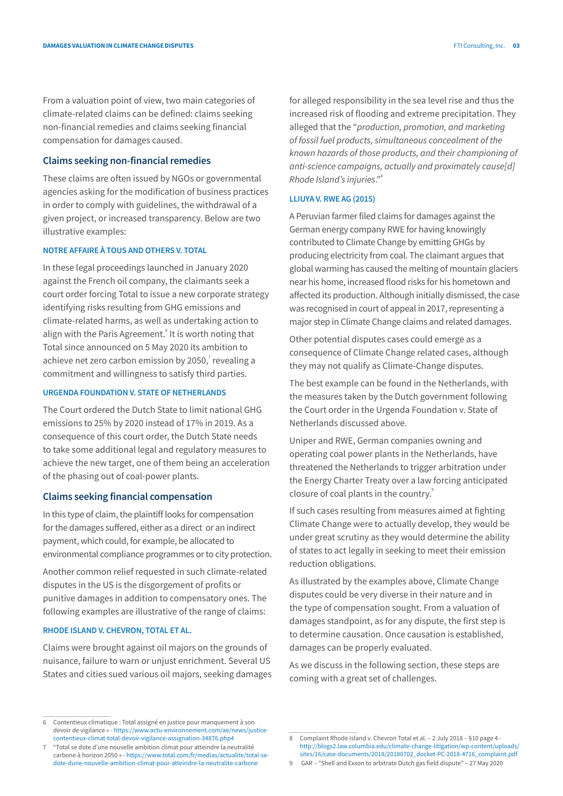From a valuation point of view, two main categories of climate-related claims can be defined: claims seeking non-financial remedies and claims seeking financial compensation for damages caused.

#### **Claims seeking non-financial remedies**

These claims are often issued by NGOs or governmental agencies asking for the modification of business practices in order to comply with guidelines, the withdrawal of a given project, or increased transparency. Below are two illustrative examples:

#### **NOTRE AFFAIRE À TOUS AND OTHERS V. TOTAL**

In these legal proceedings launched in January 2020 against the French oil company, the claimants seek a court order forcing Total to issue a new corporate strategy identifying risks resulting from GHG emissions and climate-related harms, as well as undertaking action to align with the Paris Agreement.<sup>6</sup> It is worth noting that Total since announced on 5 May 2020 its ambition to achieve net zero carbon emission by 2050, $\overline{7}$  revealing a commitment and willingness to satisfy third parties.

#### **URGENDA FOUNDATION V. STATE OF NETHERLANDS**

The Court ordered the Dutch State to limit national GHG emissions to 25% by 2020 instead of 17% in 2019. As a consequence of this court order, the Dutch State needs to take some additional legal and regulatory measures to achieve the new target, one of them being an acceleration of the phasing out of coal-power plants.

#### **Claims seeking financial compensation**

In this type of claim, the plaintiff looks for compensation for the damages suffered, either as a direct or an indirect payment, which could, for example, be allocated to environmental compliance programmes or to city protection.

Another common relief requested in such climate-related disputes in the US is the disgorgement of profits or punitive damages in addition to compensatory ones. The following examples are illustrative of the range of claims:

### **RHODE ISLAND V. CHEVRON, TOTAL ET AL.**

Claims were brought against oil majors on the grounds of nuisance, failure to warn or unjust enrichment. Several US States and cities sued various oil majors, seeking damages

for alleged responsibility in the sea level rise and thus the increased risk of flooding and extreme precipitation. They alleged that the "*production, promotion, and marketing of fossil fuel products, simultaneous concealment of the known hazards of those products, and their championing of anti-science campaigns, actually and proximately cause[d] Rhode Island's injuries*."8

#### **LLIUYA V. RWE AG (2015)**

A Peruvian farmer filed claims for damages against the German energy company RWE for having knowingly contributed to Climate Change by emitting GHGs by producing electricity from coal. The claimant argues that global warming has caused the melting of mountain glaciers near his home, increased flood risks for his hometown and affected its production. Although initially dismissed, the case was recognised in court of appeal in 2017, representing a major step in Climate Change claims and related damages.

Other potential disputes cases could emerge as a consequence of Climate Change related cases, although they may not qualify as Climate-Change disputes.

The best example can be found in the Netherlands, with the measures taken by the Dutch government following the Court order in the Urgenda Foundation v. State of Netherlands discussed above.

Uniper and RWE, German companies owning and operating coal power plants in the Netherlands, have threatened the Netherlands to trigger arbitration under the Energy Charter Treaty over a law forcing anticipated closure of coal plants in the country.<sup>9</sup>

If such cases resulting from measures aimed at fighting Climate Change were to actually develop, they would be under great scrutiny as they would determine the ability of states to act legally in seeking to meet their emission reduction obligations.

As illustrated by the examples above, Climate Change disputes could be very diverse in their nature and in the type of compensation sought. From a valuation of damages standpoint, as for any dispute, the first step is to determine causation. Once causation is established, damages can be properly evaluated.

As we discuss in the following section, these steps are coming with a great set of challenges.

<sup>6</sup> Contentieux climatique : Total assigné en justice pour manquement à son devoir de vigilance » - [https://www.actu-environnement.com/ae/news/justice](https://www.actu-environnement.com/ae/news/justice-contentieux-climat-total-devoir-vigilance-assignation-34876.php4)[contentieux-climat-total-devoir-vigilance-assignation-34876.php4](https://www.actu-environnement.com/ae/news/justice-contentieux-climat-total-devoir-vigilance-assignation-34876.php4)

<sup>7</sup> "Total se dote d'une nouvelle ambition climat pour atteindre la neutralité carbone à horizon 2050 » - [https://www.total.com/fr/medias/actualite/total-se](https://www.total.com/fr/medias/actualite/total-se-dote-dune-nouvelle-ambition-climat-pour-atteindre-la-neutralite-carbone)[dote-dune-nouvelle-ambition-climat-pour-atteindre-la-neutralite-carbone](https://www.total.com/fr/medias/actualite/total-se-dote-dune-nouvelle-ambition-climat-pour-atteindre-la-neutralite-carbone)

<sup>8</sup> Complaint Rhode Island v. Chevron Total et al. – 2 July 2018 – §10 page 4 [http://blogs2.law.columbia.edu/climate-change-litigation/wp-content/uploads/](Complaint Rhode Island v. Chevron Total et al. – 2 July 2018 – §10 page 4 - http://blogs2.law.columbia.edu/climate-change-litigation/wp-content/uploads/sites/16/case-documents/2018/20180702_docket-PC-2018-4716_complaint.pdf) [sites/16/case-documents/2018/20180702\\_docket-PC-2018-4716\\_complaint.pdf](Complaint Rhode Island v. Chevron Total et al. – 2 July 2018 – §10 page 4 - http://blogs2.law.columbia.edu/climate-change-litigation/wp-content/uploads/sites/16/case-documents/2018/20180702_docket-PC-2018-4716_complaint.pdf)

<sup>9</sup> GAR – "Shell and Exxon to arbitrate Dutch gas field dispute" – 27 May 2020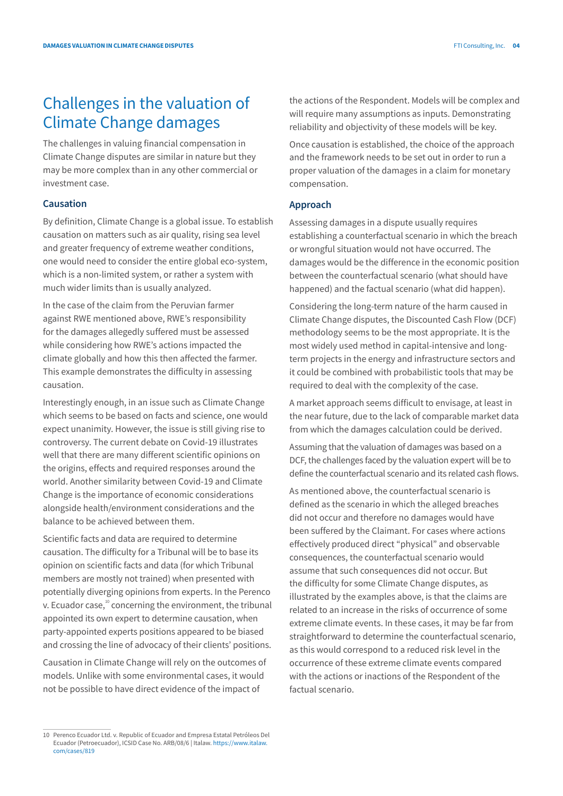# Challenges in the valuation of Climate Change damages

The challenges in valuing financial compensation in Climate Change disputes are similar in nature but they may be more complex than in any other commercial or investment case.

### **Causation**

By definition, Climate Change is a global issue. To establish causation on matters such as air quality, rising sea level and greater frequency of extreme weather conditions, one would need to consider the entire global eco-system, which is a non-limited system, or rather a system with much wider limits than is usually analyzed.

In the case of the claim from the Peruvian farmer against RWE mentioned above, RWE's responsibility for the damages allegedly suffered must be assessed while considering how RWE's actions impacted the climate globally and how this then affected the farmer. This example demonstrates the difficulty in assessing causation.

Interestingly enough, in an issue such as Climate Change which seems to be based on facts and science, one would expect unanimity. However, the issue is still giving rise to controversy. The current debate on Covid-19 illustrates well that there are many different scientific opinions on the origins, effects and required responses around the world. Another similarity between Covid-19 and Climate Change is the importance of economic considerations alongside health/environment considerations and the balance to be achieved between them.

Scientific facts and data are required to determine causation. The difficulty for a Tribunal will be to base its opinion on scientific facts and data (for which Tribunal members are mostly not trained) when presented with potentially diverging opinions from experts. In the Perenco v. Ecuador case, $10^{\circ}$  concerning the environment, the tribunal appointed its own expert to determine causation, when party-appointed experts positions appeared to be biased and crossing the line of advocacy of their clients' positions.

Causation in Climate Change will rely on the outcomes of models. Unlike with some environmental cases, it would not be possible to have direct evidence of the impact of

the actions of the Respondent. Models will be complex and will require many assumptions as inputs. Demonstrating reliability and objectivity of these models will be key.

Once causation is established, the choice of the approach and the framework needs to be set out in order to run a proper valuation of the damages in a claim for monetary compensation.

#### **Approach**

Assessing damages in a dispute usually requires establishing a counterfactual scenario in which the breach or wrongful situation would not have occurred. The damages would be the difference in the economic position between the counterfactual scenario (what should have happened) and the factual scenario (what did happen).

Considering the long-term nature of the harm caused in Climate Change disputes, the Discounted Cash Flow (DCF) methodology seems to be the most appropriate. It is the most widely used method in capital-intensive and longterm projects in the energy and infrastructure sectors and it could be combined with probabilistic tools that may be required to deal with the complexity of the case.

A market approach seems difficult to envisage, at least in the near future, due to the lack of comparable market data from which the damages calculation could be derived.

Assuming that the valuation of damages was based on a DCF, the challenges faced by the valuation expert will be to define the counterfactual scenario and its related cash flows.

As mentioned above, the counterfactual scenario is defined as the scenario in which the alleged breaches did not occur and therefore no damages would have been suffered by the Claimant. For cases where actions effectively produced direct "physical" and observable consequences, the counterfactual scenario would assume that such consequences did not occur. But the difficulty for some Climate Change disputes, as illustrated by the examples above, is that the claims are related to an increase in the risks of occurrence of some extreme climate events. In these cases, it may be far from straightforward to determine the counterfactual scenario, as this would correspond to a reduced risk level in the occurrence of these extreme climate events compared with the actions or inactions of the Respondent of the factual scenario.

<sup>10</sup> Perenco Ecuador Ltd. v. Republic of Ecuador and Empresa Estatal Petróleos Del Ecuador (Petroecuador), ICSID Case No. ARB/08/6 | Italaw. [https://www.italaw.](https://www.italaw.com/cases/819) [com/cases/819](https://www.italaw.com/cases/819)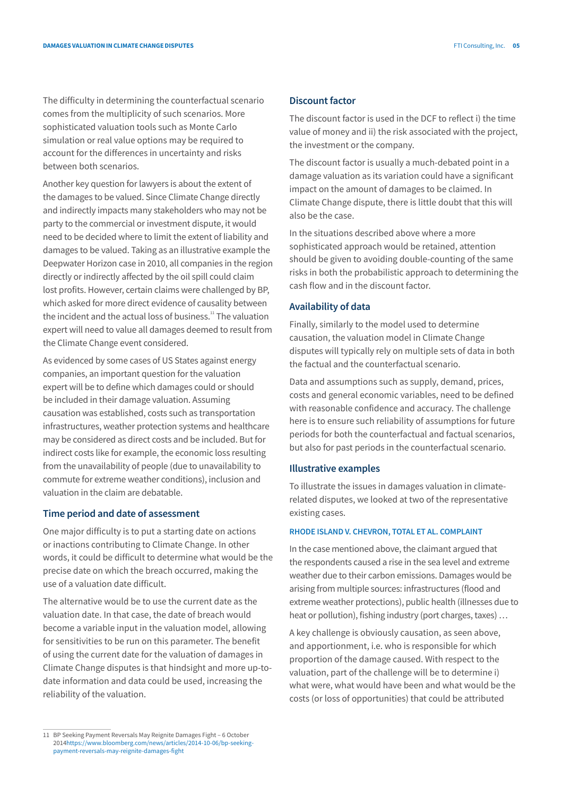The difficulty in determining the counterfactual scenario comes from the multiplicity of such scenarios. More sophisticated valuation tools such as Monte Carlo simulation or real value options may be required to account for the differences in uncertainty and risks between both scenarios.

Another key question for lawyers is about the extent of the damages to be valued. Since Climate Change directly and indirectly impacts many stakeholders who may not be party to the commercial or investment dispute, it would need to be decided where to limit the extent of liability and damages to be valued. Taking as an illustrative example the Deepwater Horizon case in 2010, all companies in the region directly or indirectly affected by the oil spill could claim lost profits. However, certain claims were challenged by BP, which asked for more direct evidence of causality between the incident and the actual loss of business. $11$  The valuation expert will need to value all damages deemed to result from the Climate Change event considered.

As evidenced by some cases of US States against energy companies, an important question for the valuation expert will be to define which damages could or should be included in their damage valuation. Assuming causation was established, costs such as transportation infrastructures, weather protection systems and healthcare may be considered as direct costs and be included. But for indirect costs like for example, the economic loss resulting from the unavailability of people (due to unavailability to commute for extreme weather conditions), inclusion and valuation in the claim are debatable.

#### **Time period and date of assessment**

One major difficulty is to put a starting date on actions or inactions contributing to Climate Change. In other words, it could be difficult to determine what would be the precise date on which the breach occurred, making the use of a valuation date difficult.

The alternative would be to use the current date as the valuation date. In that case, the date of breach would become a variable input in the valuation model, allowing for sensitivities to be run on this parameter. The benefit of using the current date for the valuation of damages in Climate Change disputes is that hindsight and more up-todate information and data could be used, increasing the reliability of the valuation.

The discount factor is used in the DCF to reflect i) the time value of money and ii) the risk associated with the project, the investment or the company.

The discount factor is usually a much-debated point in a damage valuation as its variation could have a significant impact on the amount of damages to be claimed. In Climate Change dispute, there is little doubt that this will also be the case.

In the situations described above where a more sophisticated approach would be retained, attention should be given to avoiding double-counting of the same risks in both the probabilistic approach to determining the cash flow and in the discount factor.

#### **Availability of data**

Finally, similarly to the model used to determine causation, the valuation model in Climate Change disputes will typically rely on multiple sets of data in both the factual and the counterfactual scenario.

Data and assumptions such as supply, demand, prices, costs and general economic variables, need to be defined with reasonable confidence and accuracy. The challenge here is to ensure such reliability of assumptions for future periods for both the counterfactual and factual scenarios, but also for past periods in the counterfactual scenario.

#### **Illustrative examples**

To illustrate the issues in damages valuation in climaterelated disputes, we looked at two of the representative existing cases.

### **RHODE ISLAND V. CHEVRON, TOTAL ET AL. COMPLAINT**

In the case mentioned above, the claimant argued that the respondents caused a rise in the sea level and extreme weather due to their carbon emissions. Damages would be arising from multiple sources: infrastructures (flood and extreme weather protections), public health (illnesses due to heat or pollution), fishing industry (port charges, taxes) …

A key challenge is obviously causation, as seen above, and apportionment, i.e. who is responsible for which proportion of the damage caused. With respect to the valuation, part of the challenge will be to determine i) what were, what would have been and what would be the costs (or loss of opportunities) that could be attributed

**Discount factor**

<sup>11</sup> BP Seeking Payment Reversals May Reignite Damages Fight – 6 October 2014https://www.bloomberg.com/news/articles/2014-10-06/bp-seekingpayment-reversals-may-reignite-damages-fight